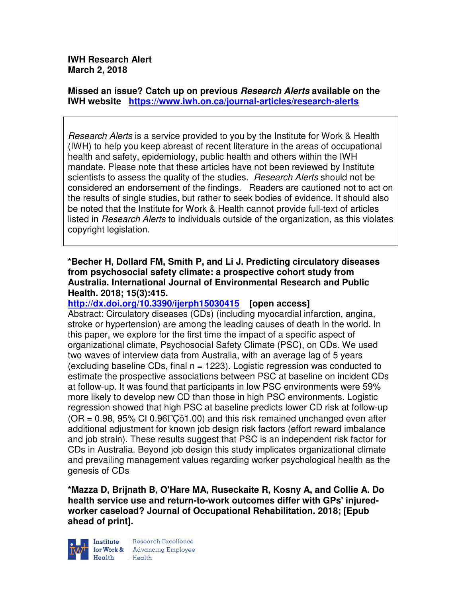**IWH Research Alert March 2, 2018** 

**Missed an issue? Catch up on previous Research Alerts available on the IWH website https://www.iwh.on.ca/journal-articles/research-alerts** 

Research Alerts is a service provided to you by the Institute for Work & Health (IWH) to help you keep abreast of recent literature in the areas of occupational health and safety, epidemiology, public health and others within the IWH mandate. Please note that these articles have not been reviewed by Institute scientists to assess the quality of the studies. *Research Alerts* should not be considered an endorsement of the findings. Readers are cautioned not to act on the results of single studies, but rather to seek bodies of evidence. It should also be noted that the Institute for Work & Health cannot provide full-text of articles listed in Research Alerts to individuals outside of the organization, as this violates copyright legislation.

## **\*Becher H, Dollard FM, Smith P, and Li J. Predicting circulatory diseases from psychosocial safety climate: a prospective cohort study from Australia. International Journal of Environmental Research and Public Health. 2018; 15(3):415.**

**http://dx.doi.org/10.3390/ijerph15030415 [open access]**

Abstract: Circulatory diseases (CDs) (including myocardial infarction, angina, stroke or hypertension) are among the leading causes of death in the world. In this paper, we explore for the first time the impact of a specific aspect of organizational climate, Psychosocial Safety Climate (PSC), on CDs. We used two waves of interview data from Australia, with an average lag of 5 years (excluding baseline CDs, final  $n = 1223$ ). Logistic regression was conducted to estimate the prospective associations between PSC at baseline on incident CDs at follow-up. It was found that participants in low PSC environments were 59% more likely to develop new CD than those in high PSC environments. Logistic regression showed that high PSC at baseline predicts lower CD risk at follow-up  $(OR = 0.98, 95\% \text{ CI } 0.96\Gamma\text{C} \hat{o}1.00)$  and this risk remained unchanged even after additional adjustment for known job design risk factors (effort reward imbalance and job strain). These results suggest that PSC is an independent risk factor for CDs in Australia. Beyond job design this study implicates organizational climate and prevailing management values regarding worker psychological health as the genesis of CDs

**\*Mazza D, Brijnath B, O'Hare MA, Ruseckaite R, Kosny A, and Collie A. Do health service use and return-to-work outcomes differ with GPs' injuredworker caseload? Journal of Occupational Rehabilitation. 2018; [Epub ahead of print].** 

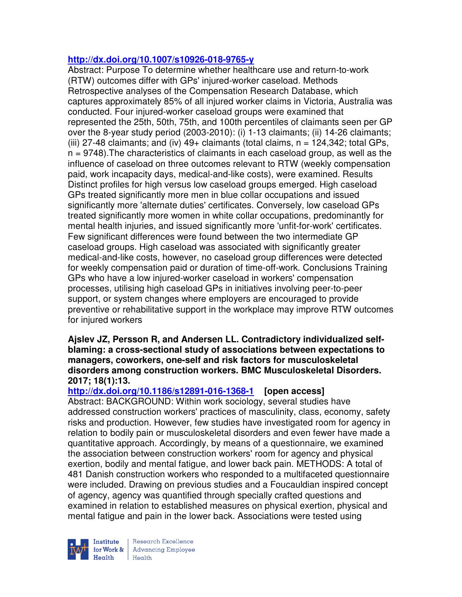## **http://dx.doi.org/10.1007/s10926-018-9765-y**

Abstract: Purpose To determine whether healthcare use and return-to-work (RTW) outcomes differ with GPs' injured-worker caseload. Methods Retrospective analyses of the Compensation Research Database, which captures approximately 85% of all injured worker claims in Victoria, Australia was conducted. Four injured-worker caseload groups were examined that represented the 25th, 50th, 75th, and 100th percentiles of claimants seen per GP over the 8-year study period (2003-2010): (i) 1-13 claimants; (ii) 14-26 claimants; (iii) 27-48 claimants; and (iv)  $49+$  claimants (total claims,  $n = 124,342$ ; total GPs, n = 9748).The characteristics of claimants in each caseload group, as well as the influence of caseload on three outcomes relevant to RTW (weekly compensation paid, work incapacity days, medical-and-like costs), were examined. Results Distinct profiles for high versus low caseload groups emerged. High caseload GPs treated significantly more men in blue collar occupations and issued significantly more 'alternate duties' certificates. Conversely, low caseload GPs treated significantly more women in white collar occupations, predominantly for mental health injuries, and issued significantly more 'unfit-for-work' certificates. Few significant differences were found between the two intermediate GP caseload groups. High caseload was associated with significantly greater medical-and-like costs, however, no caseload group differences were detected for weekly compensation paid or duration of time-off-work. Conclusions Training GPs who have a low injured-worker caseload in workers' compensation processes, utilising high caseload GPs in initiatives involving peer-to-peer support, or system changes where employers are encouraged to provide preventive or rehabilitative support in the workplace may improve RTW outcomes for injured workers

#### **Ajslev JZ, Persson R, and Andersen LL. Contradictory individualized selfblaming: a cross-sectional study of associations between expectations to managers, coworkers, one-self and risk factors for musculoskeletal disorders among construction workers. BMC Musculoskeletal Disorders. 2017; 18(1):13.**

# **http://dx.doi.org/10.1186/s12891-016-1368-1 [open access]**

Abstract: BACKGROUND: Within work sociology, several studies have addressed construction workers' practices of masculinity, class, economy, safety risks and production. However, few studies have investigated room for agency in relation to bodily pain or musculoskeletal disorders and even fewer have made a quantitative approach. Accordingly, by means of a questionnaire, we examined the association between construction workers' room for agency and physical exertion, bodily and mental fatigue, and lower back pain. METHODS: A total of 481 Danish construction workers who responded to a multifaceted questionnaire were included. Drawing on previous studies and a Foucauldian inspired concept of agency, agency was quantified through specially crafted questions and examined in relation to established measures on physical exertion, physical and mental fatigue and pain in the lower back. Associations were tested using

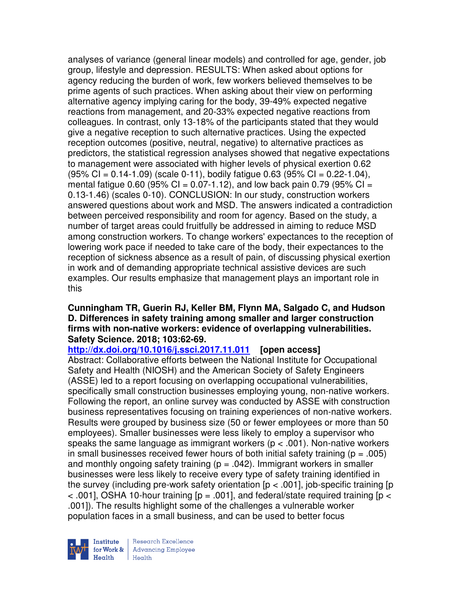analyses of variance (general linear models) and controlled for age, gender, job group, lifestyle and depression. RESULTS: When asked about options for agency reducing the burden of work, few workers believed themselves to be prime agents of such practices. When asking about their view on performing alternative agency implying caring for the body, 39-49% expected negative reactions from management, and 20-33% expected negative reactions from colleagues. In contrast, only 13-18% of the participants stated that they would give a negative reception to such alternative practices. Using the expected reception outcomes (positive, neutral, negative) to alternative practices as predictors, the statistical regression analyses showed that negative expectations to management were associated with higher levels of physical exertion 0.62  $(95\% \text{ CI} = 0.14 - 1.09)$  (scale 0-11), bodily fatigue 0.63 (95% CI = 0.22-1.04), mental fatigue 0.60 (95% CI = 0.07-1.12), and low back pain 0.79 (95% CI = 0.13-1.46) (scales 0-10). CONCLUSION: In our study, construction workers answered questions about work and MSD. The answers indicated a contradiction between perceived responsibility and room for agency. Based on the study, a number of target areas could fruitfully be addressed in aiming to reduce MSD among construction workers. To change workers' expectances to the reception of lowering work pace if needed to take care of the body, their expectances to the reception of sickness absence as a result of pain, of discussing physical exertion in work and of demanding appropriate technical assistive devices are such examples. Our results emphasize that management plays an important role in this

## **Cunningham TR, Guerin RJ, Keller BM, Flynn MA, Salgado C, and Hudson D. Differences in safety training among smaller and larger construction firms with non-native workers: evidence of overlapping vulnerabilities. Safety Science. 2018; 103:62-69.**

**http://dx.doi.org/10.1016/j.ssci.2017.11.011 [open access]**

Abstract: Collaborative efforts between the National Institute for Occupational Safety and Health (NIOSH) and the American Society of Safety Engineers (ASSE) led to a report focusing on overlapping occupational vulnerabilities, specifically small construction businesses employing young, non-native workers. Following the report, an online survey was conducted by ASSE with construction business representatives focusing on training experiences of non-native workers. Results were grouped by business size (50 or fewer employees or more than 50 employees). Smaller businesses were less likely to employ a supervisor who speaks the same language as immigrant workers ( $p < .001$ ). Non-native workers in small businesses received fewer hours of both initial safety training ( $p = .005$ ) and monthly ongoing safety training ( $p = .042$ ). Immigrant workers in smaller businesses were less likely to receive every type of safety training identified in the survey (including pre-work safety orientation  $[p < .001]$ , job-specific training  $[p]$  $<$  .001], OSHA 10-hour training  $[p = .001]$ , and federal/state required training  $[p <$ .001]). The results highlight some of the challenges a vulnerable worker population faces in a small business, and can be used to better focus

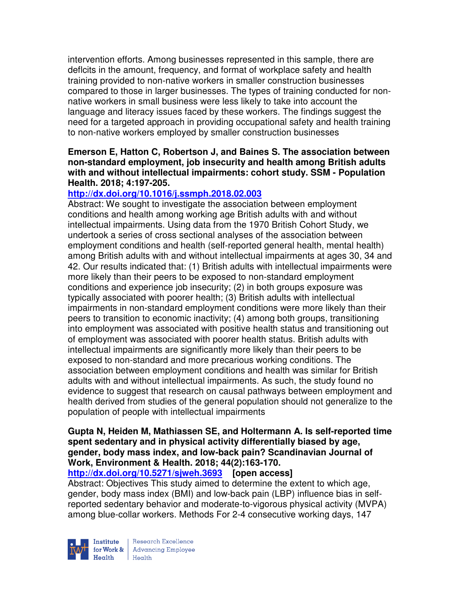intervention efforts. Among businesses represented in this sample, there are deflcits in the amount, frequency, and format of workplace safety and health training provided to non-native workers in smaller construction businesses compared to those in larger businesses. The types of training conducted for nonnative workers in small business were less likely to take into account the language and literacy issues faced by these workers. The findings suggest the need for a targeted approach in providing occupational safety and health training to non-native workers employed by smaller construction businesses

### **Emerson E, Hatton C, Robertson J, and Baines S. The association between non-standard employment, job insecurity and health among British adults with and without intellectual impairments: cohort study. SSM - Population Health. 2018; 4:197-205.**

# **http://dx.doi.org/10.1016/j.ssmph.2018.02.003**

Abstract: We sought to investigate the association between employment conditions and health among working age British adults with and without intellectual impairments. Using data from the 1970 British Cohort Study, we undertook a series of cross sectional analyses of the association between employment conditions and health (self-reported general health, mental health) among British adults with and without intellectual impairments at ages 30, 34 and 42. Our results indicated that: (1) British adults with intellectual impairments were more likely than their peers to be exposed to non-standard employment conditions and experience job insecurity; (2) in both groups exposure was typically associated with poorer health; (3) British adults with intellectual impairments in non-standard employment conditions were more likely than their peers to transition to economic inactivity; (4) among both groups, transitioning into employment was associated with positive health status and transitioning out of employment was associated with poorer health status. British adults with intellectual impairments are significantly more likely than their peers to be exposed to non-standard and more precarious working conditions. The association between employment conditions and health was similar for British adults with and without intellectual impairments. As such, the study found no evidence to suggest that research on causal pathways between employment and health derived from studies of the general population should not generalize to the population of people with intellectual impairments

#### **Gupta N, Heiden M, Mathiassen SE, and Holtermann A. Is self-reported time spent sedentary and in physical activity differentially biased by age, gender, body mass index, and low-back pain? Scandinavian Journal of Work, Environment & Health. 2018; 44(2):163-170.**

**http://dx.doi.org/10.5271/sjweh.3693 [open access]**

Abstract: Objectives This study aimed to determine the extent to which age, gender, body mass index (BMI) and low-back pain (LBP) influence bias in selfreported sedentary behavior and moderate-to-vigorous physical activity (MVPA) among blue-collar workers. Methods For 2-4 consecutive working days, 147

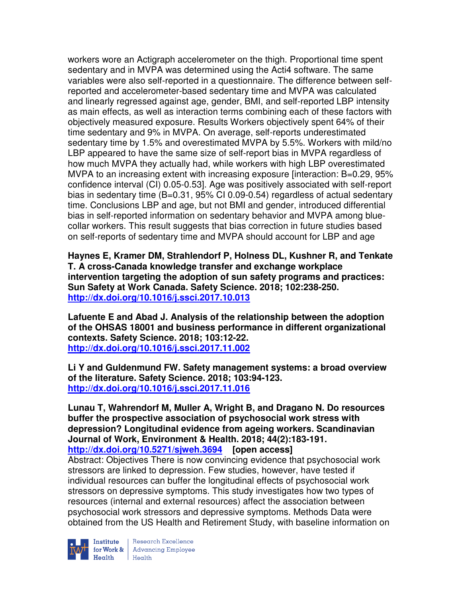workers wore an Actigraph accelerometer on the thigh. Proportional time spent sedentary and in MVPA was determined using the Acti4 software. The same variables were also self-reported in a questionnaire. The difference between selfreported and accelerometer-based sedentary time and MVPA was calculated and linearly regressed against age, gender, BMI, and self-reported LBP intensity as main effects, as well as interaction terms combining each of these factors with objectively measured exposure. Results Workers objectively spent 64% of their time sedentary and 9% in MVPA. On average, self-reports underestimated sedentary time by 1.5% and overestimated MVPA by 5.5%. Workers with mild/no LBP appeared to have the same size of self-report bias in MVPA regardless of how much MVPA they actually had, while workers with high LBP overestimated MVPA to an increasing extent with increasing exposure [interaction: B=0.29, 95% confidence interval (CI) 0.05-0.53]. Age was positively associated with self-report bias in sedentary time (B=0.31, 95% CI 0.09-0.54) regardless of actual sedentary time. Conclusions LBP and age, but not BMI and gender, introduced differential bias in self-reported information on sedentary behavior and MVPA among bluecollar workers. This result suggests that bias correction in future studies based on self-reports of sedentary time and MVPA should account for LBP and age

**Haynes E, Kramer DM, Strahlendorf P, Holness DL, Kushner R, and Tenkate T. A cross-Canada knowledge transfer and exchange workplace intervention targeting the adoption of sun safety programs and practices: Sun Safety at Work Canada. Safety Science. 2018; 102:238-250. http://dx.doi.org/10.1016/j.ssci.2017.10.013** 

**Lafuente E and Abad J. Analysis of the relationship between the adoption of the OHSAS 18001 and business performance in different organizational contexts. Safety Science. 2018; 103:12-22. http://dx.doi.org/10.1016/j.ssci.2017.11.002** 

**Li Y and Guldenmund FW. Safety management systems: a broad overview of the literature. Safety Science. 2018; 103:94-123. http://dx.doi.org/10.1016/j.ssci.2017.11.016** 

**Lunau T, Wahrendorf M, Muller A, Wright B, and Dragano N. Do resources buffer the prospective association of psychosocial work stress with depression? Longitudinal evidence from ageing workers. Scandinavian Journal of Work, Environment & Health. 2018; 44(2):183-191. http://dx.doi.org/10.5271/sjweh.3694 [open access]** Abstract: Objectives There is now convincing evidence that psychosocial work

stressors are linked to depression. Few studies, however, have tested if individual resources can buffer the longitudinal effects of psychosocial work stressors on depressive symptoms. This study investigates how two types of resources (internal and external resources) affect the association between psychosocial work stressors and depressive symptoms. Methods Data were obtained from the US Health and Retirement Study, with baseline information on



Institute Research Excellence<br>
for Work & Advancing Employee<br>
Health Health  $Heath$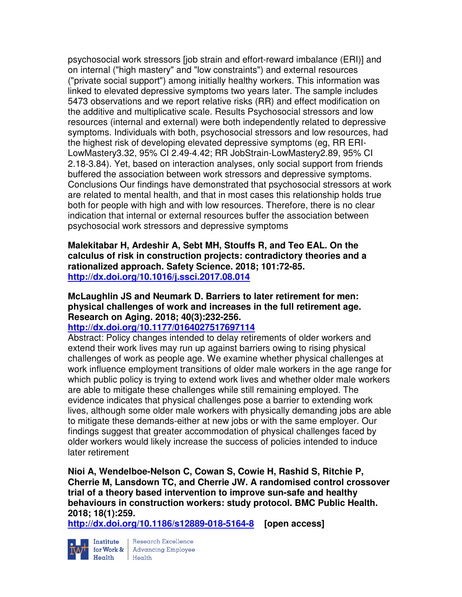psychosocial work stressors [job strain and effort-reward imbalance (ERI)] and on internal ("high mastery" and "low constraints") and external resources ("private social support") among initially healthy workers. This information was linked to elevated depressive symptoms two years later. The sample includes 5473 observations and we report relative risks (RR) and effect modification on the additive and multiplicative scale. Results Psychosocial stressors and low resources (internal and external) were both independently related to depressive symptoms. Individuals with both, psychosocial stressors and low resources, had the highest risk of developing elevated depressive symptoms (eg, RR ERI-LowMastery3.32, 95% CI 2.49-4.42; RR JobStrain-LowMastery2.89, 95% CI 2.18-3.84). Yet, based on interaction analyses, only social support from friends buffered the association between work stressors and depressive symptoms. Conclusions Our findings have demonstrated that psychosocial stressors at work are related to mental health, and that in most cases this relationship holds true both for people with high and with low resources. Therefore, there is no clear indication that internal or external resources buffer the association between psychosocial work stressors and depressive symptoms

**Malekitabar H, Ardeshir A, Sebt MH, Stouffs R, and Teo EAL. On the calculus of risk in construction projects: contradictory theories and a rationalized approach. Safety Science. 2018; 101:72-85. http://dx.doi.org/10.1016/j.ssci.2017.08.014** 

**McLaughlin JS and Neumark D. Barriers to later retirement for men: physical challenges of work and increases in the full retirement age. Research on Aging. 2018; 40(3):232-256.** 

### **http://dx.doi.org/10.1177/0164027517697114**

Abstract: Policy changes intended to delay retirements of older workers and extend their work lives may run up against barriers owing to rising physical challenges of work as people age. We examine whether physical challenges at work influence employment transitions of older male workers in the age range for which public policy is trying to extend work lives and whether older male workers are able to mitigate these challenges while still remaining employed. The evidence indicates that physical challenges pose a barrier to extending work lives, although some older male workers with physically demanding jobs are able to mitigate these demands-either at new jobs or with the same employer. Our findings suggest that greater accommodation of physical challenges faced by older workers would likely increase the success of policies intended to induce later retirement

**Nioi A, Wendelboe-Nelson C, Cowan S, Cowie H, Rashid S, Ritchie P, Cherrie M, Lansdown TC, and Cherrie JW. A randomised control crossover trial of a theory based intervention to improve sun-safe and healthy behaviours in construction workers: study protocol. BMC Public Health. 2018; 18(1):259.** 

**http://dx.doi.org/10.1186/s12889-018-5164-8 [open access]**



Institute Research Excellence<br>
for Work & Advancing Employee<br>
Health Health  $Heath$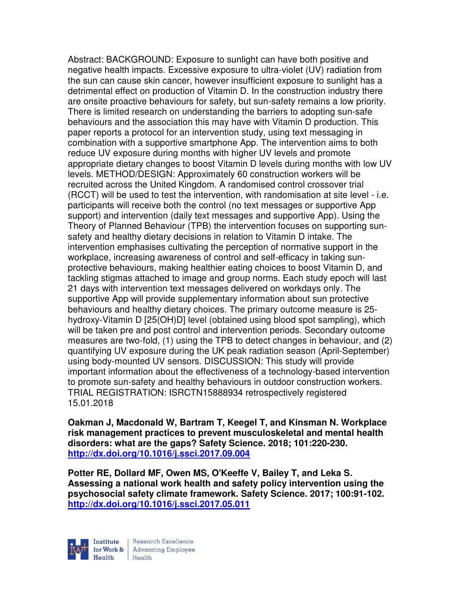Abstract: BACKGROUND: Exposure to sunlight can have both positive and negative health impacts. Excessive exposure to ultra-violet (UV) radiation from the sun can cause skin cancer, however insufficient exposure to sunlight has a detrimental effect on production of Vitamin D. In the construction industry there are onsite proactive behaviours for safety, but sun-safety remains a low priority. There is limited research on understanding the barriers to adopting sun-safe behaviours and the association this may have with Vitamin D production. This paper reports a protocol for an intervention study, using text messaging in combination with a supportive smartphone App. The intervention aims to both reduce UV exposure during months with higher UV levels and promote appropriate dietary changes to boost Vitamin D levels during months with low UV levels. METHOD/DESIGN: Approximately 60 construction workers will be recruited across the United Kingdom. A randomised control crossover trial (RCCT) will be used to test the intervention, with randomisation at site level - i.e. participants will receive both the control (no text messages or supportive App support) and intervention (daily text messages and supportive App). Using the Theory of Planned Behaviour (TPB) the intervention focuses on supporting sunsafety and healthy dietary decisions in relation to Vitamin D intake. The intervention emphasises cultivating the perception of normative support in the workplace, increasing awareness of control and self-efficacy in taking sunprotective behaviours, making healthier eating choices to boost Vitamin D, and tackling stigmas attached to image and group norms. Each study epoch will last 21 days with intervention text messages delivered on workdays only. The supportive App will provide supplementary information about sun protective behaviours and healthy dietary choices. The primary outcome measure is 25 hydroxy-Vitamin D [25(OH)D] level (obtained using blood spot sampling), which will be taken pre and post control and intervention periods. Secondary outcome measures are two-fold, (1) using the TPB to detect changes in behaviour, and (2) quantifying UV exposure during the UK peak radiation season (April-September) using body-mounted UV sensors. DISCUSSION: This study will provide important information about the effectiveness of a technology-based intervention to promote sun-safety and healthy behaviours in outdoor construction workers. TRIAL REGISTRATION: ISRCTN15888934 retrospectively registered 15.01.2018

**Oakman J, Macdonald W, Bartram T, Keegel T, and Kinsman N. Workplace risk management practices to prevent musculoskeletal and mental health disorders: what are the gaps? Safety Science. 2018; 101:220-230. http://dx.doi.org/10.1016/j.ssci.2017.09.004** 

**Potter RE, Dollard MF, Owen MS, O'Keeffe V, Bailey T, and Leka S. Assessing a national work health and safety policy intervention using the psychosocial safety climate framework. Safety Science. 2017; 100:91-102. http://dx.doi.org/10.1016/j.ssci.2017.05.011** 

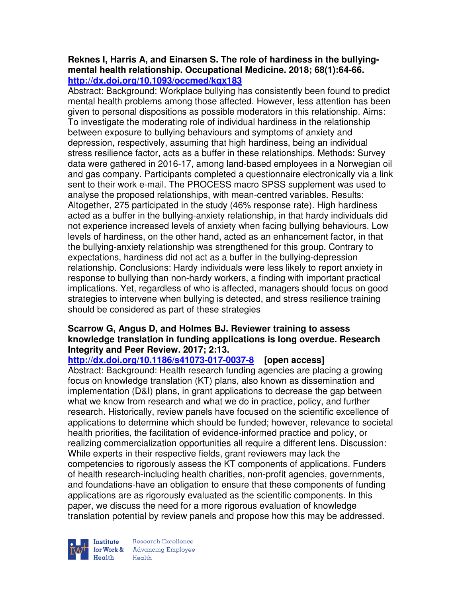### **Reknes I, Harris A, and Einarsen S. The role of hardiness in the bullyingmental health relationship. Occupational Medicine. 2018; 68(1):64-66. http://dx.doi.org/10.1093/occmed/kqx183**

Abstract: Background: Workplace bullying has consistently been found to predict mental health problems among those affected. However, less attention has been given to personal dispositions as possible moderators in this relationship. Aims: To investigate the moderating role of individual hardiness in the relationship between exposure to bullying behaviours and symptoms of anxiety and depression, respectively, assuming that high hardiness, being an individual stress resilience factor, acts as a buffer in these relationships. Methods: Survey data were gathered in 2016-17, among land-based employees in a Norwegian oil and gas company. Participants completed a questionnaire electronically via a link sent to their work e-mail. The PROCESS macro SPSS supplement was used to analyse the proposed relationships, with mean-centred variables. Results: Altogether, 275 participated in the study (46% response rate). High hardiness acted as a buffer in the bullying-anxiety relationship, in that hardy individuals did not experience increased levels of anxiety when facing bullying behaviours. Low levels of hardiness, on the other hand, acted as an enhancement factor, in that the bullying-anxiety relationship was strengthened for this group. Contrary to expectations, hardiness did not act as a buffer in the bullying-depression relationship. Conclusions: Hardy individuals were less likely to report anxiety in response to bullying than non-hardy workers, a finding with important practical implications. Yet, regardless of who is affected, managers should focus on good strategies to intervene when bullying is detected, and stress resilience training should be considered as part of these strategies

# **Scarrow G, Angus D, and Holmes BJ. Reviewer training to assess knowledge translation in funding applications is long overdue. Research Integrity and Peer Review. 2017; 2:13.**

**http://dx.doi.org/10.1186/s41073-017-0037-8 [open access]**

Abstract: Background: Health research funding agencies are placing a growing focus on knowledge translation (KT) plans, also known as dissemination and implementation (D&I) plans, in grant applications to decrease the gap between what we know from research and what we do in practice, policy, and further research. Historically, review panels have focused on the scientific excellence of applications to determine which should be funded; however, relevance to societal health priorities, the facilitation of evidence-informed practice and policy, or realizing commercialization opportunities all require a different lens. Discussion: While experts in their respective fields, grant reviewers may lack the competencies to rigorously assess the KT components of applications. Funders of health research-including health charities, non-profit agencies, governments, and foundations-have an obligation to ensure that these components of funding applications are as rigorously evaluated as the scientific components. In this paper, we discuss the need for a more rigorous evaluation of knowledge translation potential by review panels and propose how this may be addressed.

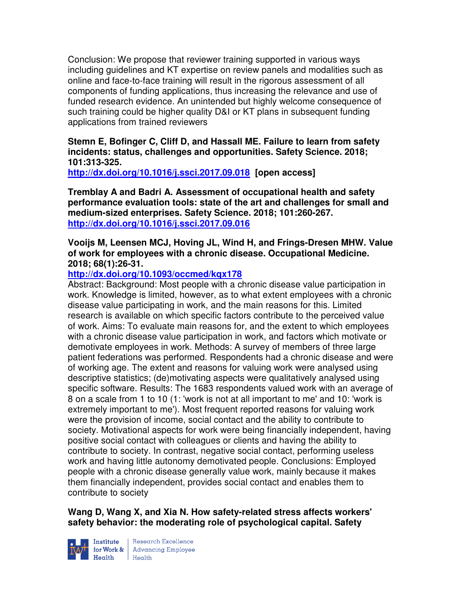Conclusion: We propose that reviewer training supported in various ways including guidelines and KT expertise on review panels and modalities such as online and face-to-face training will result in the rigorous assessment of all components of funding applications, thus increasing the relevance and use of funded research evidence. An unintended but highly welcome consequence of such training could be higher quality D&I or KT plans in subsequent funding applications from trained reviewers

#### **Stemn E, Bofinger C, Cliff D, and Hassall ME. Failure to learn from safety incidents: status, challenges and opportunities. Safety Science. 2018; 101:313-325.**

**http://dx.doi.org/10.1016/j.ssci.2017.09.018 [open access]** 

**Tremblay A and Badri A. Assessment of occupational health and safety performance evaluation tools: state of the art and challenges for small and medium-sized enterprises. Safety Science. 2018; 101:260-267. http://dx.doi.org/10.1016/j.ssci.2017.09.016** 

## **Vooijs M, Leensen MCJ, Hoving JL, Wind H, and Frings-Dresen MHW. Value of work for employees with a chronic disease. Occupational Medicine. 2018; 68(1):26-31.**

# **http://dx.doi.org/10.1093/occmed/kqx178**

Abstract: Background: Most people with a chronic disease value participation in work. Knowledge is limited, however, as to what extent employees with a chronic disease value participating in work, and the main reasons for this. Limited research is available on which specific factors contribute to the perceived value of work. Aims: To evaluate main reasons for, and the extent to which employees with a chronic disease value participation in work, and factors which motivate or demotivate employees in work. Methods: A survey of members of three large patient federations was performed. Respondents had a chronic disease and were of working age. The extent and reasons for valuing work were analysed using descriptive statistics; (de)motivating aspects were qualitatively analysed using specific software. Results: The 1683 respondents valued work with an average of 8 on a scale from 1 to 10 (1: 'work is not at all important to me' and 10: 'work is extremely important to me'). Most frequent reported reasons for valuing work were the provision of income, social contact and the ability to contribute to society. Motivational aspects for work were being financially independent, having positive social contact with colleagues or clients and having the ability to contribute to society. In contrast, negative social contact, performing useless work and having little autonomy demotivated people. Conclusions: Employed people with a chronic disease generally value work, mainly because it makes them financially independent, provides social contact and enables them to contribute to society

### **Wang D, Wang X, and Xia N. How safety-related stress affects workers' safety behavior: the moderating role of psychological capital. Safety**



**Institute** Research Excellence<br> **for Work &** Advancing Employee<br> **Health** Health